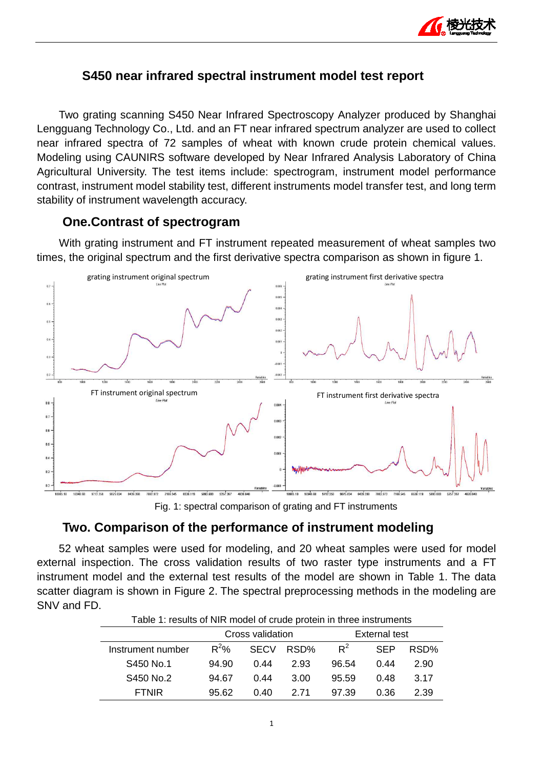

## **S450 near infrared spectral instrument model test report**

Two grating scanning S450 Near Infrared Spectroscopy Analyzer produced by Shanghai Lengguang Technology Co., Ltd. and an FT near infrared spectrum analyzer are used to collect near infrared spectra of 72 samples of wheat with known crude protein chemical values. Modeling using CAUNIRS software developed by Near Infrared Analysis Laboratory of China Agricultural University. The test items include: spectrogram, instrument model performance contrast, instrument model stability test, different instruments model transfer test, and long term stability of instrument wavelength accuracy.

#### **One.Contrast of spectrogram rogram**

With grating instrument and FT instrument repeated measurement of wheat samples two times, the original spectrum and the first derivative spectra comparison as shown in figure 1.



Fig. 1: spectral comparison of grating and FT instruments

# **Two. Comparison of the performance of instrument modeling on**

52 wheat samples were used for modeling, and 20 wheat samples were used for model external inspection. The cross validation results of two raster type instruments and a FT instrument model and the external test results of the model are shown in Table 1. The data scatter diagram is shown in Figure 2. The spectral preprocessing methods in the modeling are SNV and FD.

| Table 1: results of NIR model of crude protein in three instruments |         |                  |      |                      |            |      |
|---------------------------------------------------------------------|---------|------------------|------|----------------------|------------|------|
|                                                                     |         | Cross validation |      | <b>External test</b> |            |      |
| Instrument number                                                   | $R^2\%$ | <b>SECV</b>      | RSD% | $R^2$                | <b>SFP</b> | RSD% |
| S450 No.1                                                           | 94.90   | 0.44             | 2.93 | 96.54                | በ 44       | 2.90 |
| S450 No.2                                                           | 94.67   | 0.44             | 3.00 | 95.59                | 0.48       | 3.17 |
| <b>FTNIR</b>                                                        | 95.62   | 0.40             | 2 71 | 97.39                | 0.36       | 2.39 |

Table 1: results of NIR model of crude protein in three instruments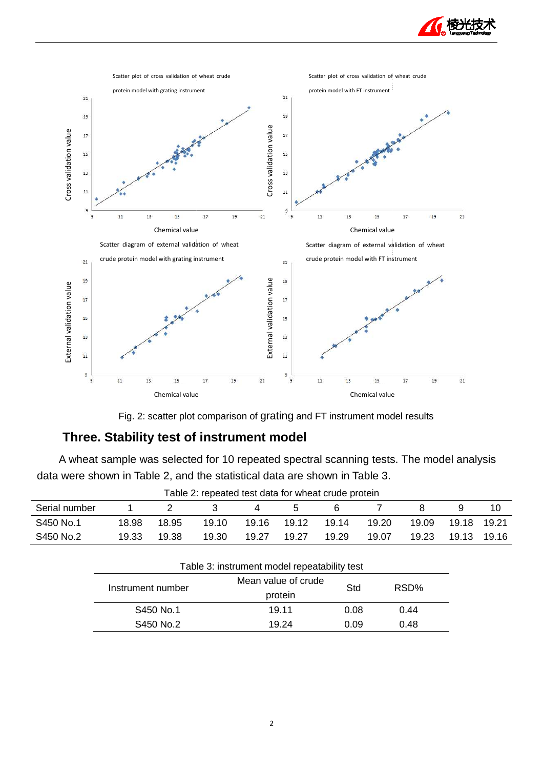



Fig. 2: scatter plot comparison of grating and FT instrument model results

# **Three. Stability test of instrument model**

A wheat sample was selected for 10 repeated spectral scanning tests. The model analysis data were shown in Table 2, and the statistical data are shown in Table 3.

| rable 2. repeated test data for writeat crude protein |       |       |       |       |       |       |       |       |       |         |
|-------------------------------------------------------|-------|-------|-------|-------|-------|-------|-------|-------|-------|---------|
| Serial number                                         |       |       |       |       |       | 6     |       |       |       |         |
| S450 No.1                                             | 18.98 | 18.95 | 19.10 | 19.16 | 19.12 | 1914  | 19.20 | 19.09 | 19.18 | 19.21   |
| S450 No.2                                             | 19.33 | 19.38 | 19.30 | 19.27 | 19.27 | 19.29 | 19.07 | 19.23 | 19.13 | - 19.16 |

| Table 2: repeated test data for wheat crude protein |  |  |  |
|-----------------------------------------------------|--|--|--|
|                                                     |  |  |  |
|                                                     |  |  |  |

| Table 3: instrument model repeatability test |                     |      |      |  |
|----------------------------------------------|---------------------|------|------|--|
| Instrument number                            | Mean value of crude | Std  | RSD% |  |
|                                              | protein             |      |      |  |
| S450 No.1                                    | 19.11               | 0.08 | 0.44 |  |
| S450 No.2                                    | 19.24               | 0.09 | 0.48 |  |
|                                              |                     |      |      |  |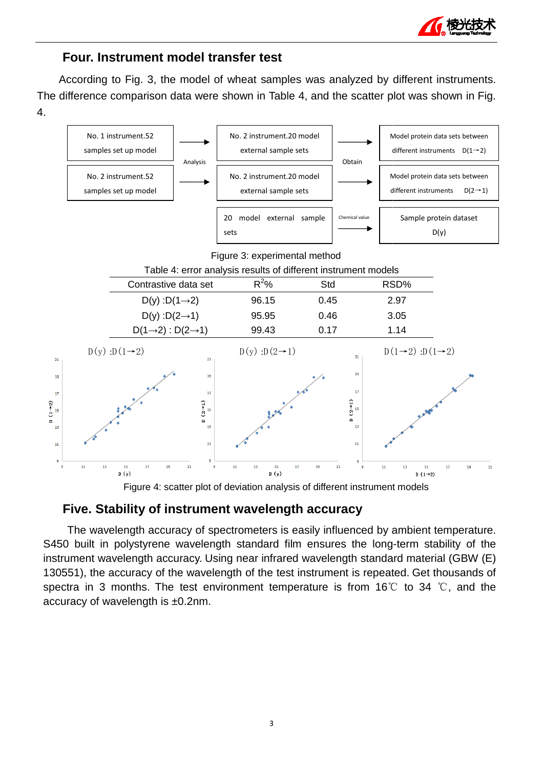

## **Four. Instrument model transfer test**

According to Fig. 3, the model of wheat samples was analyzed by different instruments. The difference comparison data were shown in Table 4, and the scatter plot was shown in Fig. 4.



Figure 4: scatter plot of deviation analysis of different instrument models

#### **Five. Stability of instrument wavelength accuracy**

 The wavelength accuracy of spectrometers is easily influenced by ambient temperature. S450 built in polystyrene wavelength standard film ensures the long-term stability of the instrument wavelength accuracy. Using near infrared wavelength standard material (GBW (E) 130551), the accuracy of the wavelength of the test instrument is repeated. Get thousands of spectra in 3 months. The test environment temperature is from 16°C to 34 °C, and the accuracy of wavelength is ±0.2nm.